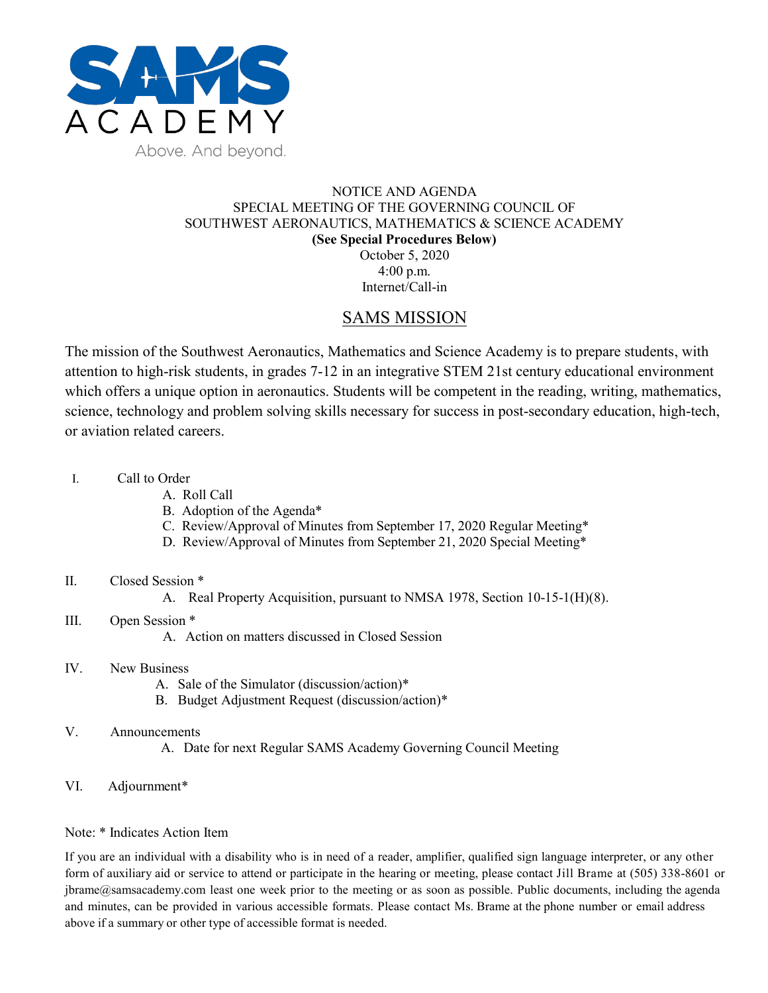

### NOTICE AND AGENDA SPECIAL MEETING OF THE GOVERNING COUNCIL OF SOUTHWEST AERONAUTICS, MATHEMATICS & SCIENCE ACADEMY **(See Special Procedures Below)** October 5, 2020 4:00 p.m.

Internet/Call-in

## SAMS MISSION

The mission of the Southwest Aeronautics, Mathematics and Science Academy is to prepare students, with attention to high-risk students, in grades 7-12 in an integrative STEM 21st century educational environment which offers a unique option in aeronautics. Students will be competent in the reading, writing, mathematics, science, technology and problem solving skills necessary for success in post-secondary education, high-tech, or aviation related careers.

- I. Call to Order
	- A. Roll Call
	- B. Adoption of the Agenda\*
	- C. Review/Approval of Minutes from September 17, 2020 Regular Meeting\*
	- D. Review/Approval of Minutes from September 21, 2020 Special Meeting\*

## II. Closed Session \*

- A. Real Property Acquisition, pursuant to NMSA 1978, Section 10-15-1(H)(8).
- III. Open Session \*

A. Action on matters discussed in Closed Session

- IV. New Business
	- A. Sale of the Simulator (discussion/action)\*
	- B. Budget Adjustment Request (discussion/action)\*
- V. Announcements
	- A. Date for next Regular SAMS Academy Governing Council Meeting
- VI. Adjournment\*

#### Note: \* Indicates Action Item

If you are an individual with a disability who is in need of a reader, amplifier, qualified sign language interpreter, or any other form of auxiliary aid or service to attend or participate in the hearing or meeting, please contact Jill Brame at (505) 338-8601 or jbrame@samsacademy.com least one week prior to the meeting or as soon as possible. Public documents, including the agenda and minutes, can be provided in various accessible formats. Please contact Ms. Brame at the phone number or email address above if a summary or other type of accessible format is needed.